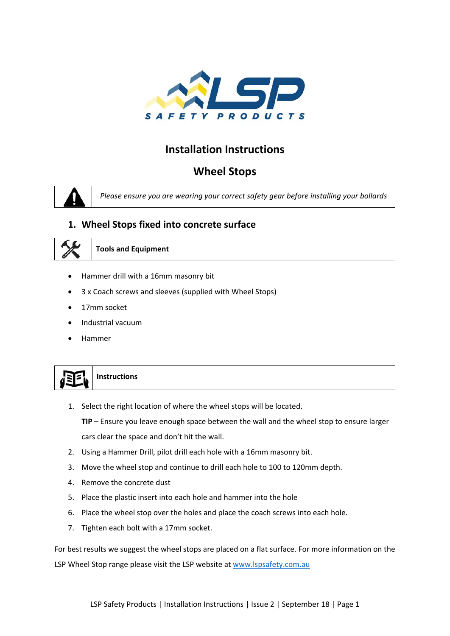

## **Installation Instructions**

# **Wheel Stops**



*Please ensure you are wearing your correct safety gear before installing your bollards* 

#### **1. Wheel Stops fixed into concrete surface**



#### **Tools and Equipment**

- Hammer drill with a 16mm masonry bit
- 3 x Coach screws and sleeves (supplied with Wheel Stops)
- 17mm socket
- Industrial vacuum
- Hammer

**Instructions** 

1. Select the right location of where the wheel stops will be located.

**TIP** – Ensure you leave enough space between the wall and the wheel stop to ensure larger cars clear the space and don't hit the wall.

- 2. Using a Hammer Drill, pilot drill each hole with a 16mm masonry bit.
- 3. Move the wheel stop and continue to drill each hole to 100 to 120mm depth.
- 4. Remove the concrete dust
- 5. Place the plastic insert into each hole and hammer into the hole
- 6. Place the wheel stop over the holes and place the coach screws into each hole.
- 7. Tighten each bolt with a 17mm socket.

For best results we suggest the wheel stops are placed on a flat surface. For more information on the LSP Wheel Stop range please visit the LSP website at www.lspsafety.com.au